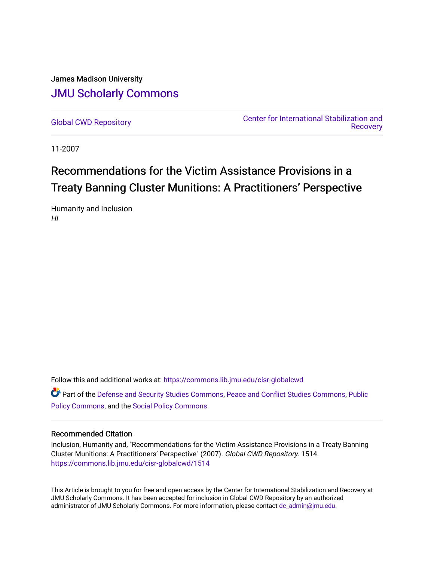### James Madison University [JMU Scholarly Commons](https://commons.lib.jmu.edu/)

[Global CWD Repository](https://commons.lib.jmu.edu/cisr-globalcwd) [Center for International Stabilization and](https://commons.lib.jmu.edu/cisr)  **Recovery** 

11-2007

## Recommendations for the Victim Assistance Provisions in a Treaty Banning Cluster Munitions: A Practitioners' Perspective

Humanity and Inclusion HI

Follow this and additional works at: [https://commons.lib.jmu.edu/cisr-globalcwd](https://commons.lib.jmu.edu/cisr-globalcwd?utm_source=commons.lib.jmu.edu%2Fcisr-globalcwd%2F1514&utm_medium=PDF&utm_campaign=PDFCoverPages)

Part of the [Defense and Security Studies Commons](http://network.bepress.com/hgg/discipline/394?utm_source=commons.lib.jmu.edu%2Fcisr-globalcwd%2F1514&utm_medium=PDF&utm_campaign=PDFCoverPages), [Peace and Conflict Studies Commons](http://network.bepress.com/hgg/discipline/397?utm_source=commons.lib.jmu.edu%2Fcisr-globalcwd%2F1514&utm_medium=PDF&utm_campaign=PDFCoverPages), [Public](http://network.bepress.com/hgg/discipline/400?utm_source=commons.lib.jmu.edu%2Fcisr-globalcwd%2F1514&utm_medium=PDF&utm_campaign=PDFCoverPages) [Policy Commons](http://network.bepress.com/hgg/discipline/400?utm_source=commons.lib.jmu.edu%2Fcisr-globalcwd%2F1514&utm_medium=PDF&utm_campaign=PDFCoverPages), and the [Social Policy Commons](http://network.bepress.com/hgg/discipline/1030?utm_source=commons.lib.jmu.edu%2Fcisr-globalcwd%2F1514&utm_medium=PDF&utm_campaign=PDFCoverPages)

#### Recommended Citation

Inclusion, Humanity and, "Recommendations for the Victim Assistance Provisions in a Treaty Banning Cluster Munitions: A Practitioners' Perspective" (2007). Global CWD Repository. 1514. [https://commons.lib.jmu.edu/cisr-globalcwd/1514](https://commons.lib.jmu.edu/cisr-globalcwd/1514?utm_source=commons.lib.jmu.edu%2Fcisr-globalcwd%2F1514&utm_medium=PDF&utm_campaign=PDFCoverPages) 

This Article is brought to you for free and open access by the Center for International Stabilization and Recovery at JMU Scholarly Commons. It has been accepted for inclusion in Global CWD Repository by an authorized administrator of JMU Scholarly Commons. For more information, please contact [dc\\_admin@jmu.edu](mailto:dc_admin@jmu.edu).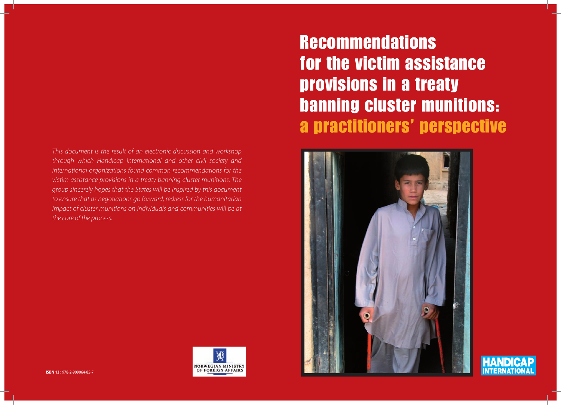*This document is the result of an electronic discussion and workshop through which Handicap International and other civil society and international organizations found common recommendations for the victim assistance provisions in a treaty banning cluster munitions. The group sincerely hopes that the States will be inspired by this document to ensure that as negotiations go forward, redress for the humanitarian impact of cluster munitions on individuals and communities will be at the core of the process.*



# **Recommendations** for the victim assistance provisions in a treaty banning cluster munitions: a practitioners' perspective





ISBN 13 : 978-2-909064-85-7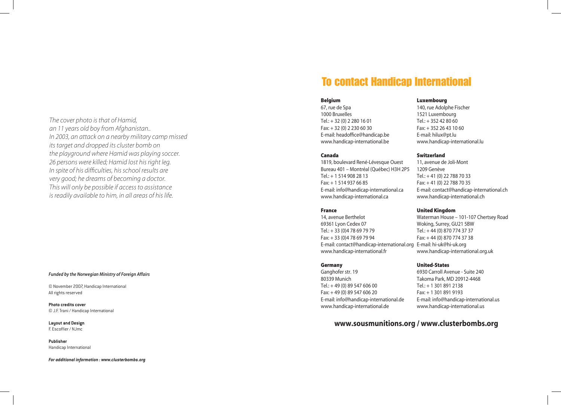*The cover photo is that of Hamid, an 11 years old boy from Afghanistan.. In 2003, an attack on a nearby military camp missed its target and dropped its cluster bomb on the playground where Hamid was playing soccer. 26 persons were killed; Hamid lost his right leg. In spite of his difficulties, his school results are very good; he dreams of becoming a doctor. This will only be possible if access to assistance is readily available to him, in all areas of his life.*

#### *Funded by the Norwegian Ministry of Foreign Affairs*

© November 2007, Handicap International All rights reserved

**Photo credits cover** © J.F. Trani / Handicap International

**Layout and Design** F. Escoffier / NJmc

**Publisher** Handicap International

*For additional information : www.clusterbombs.org*

### To contact Handicap International

#### Belgium

67, rue de Spa 1000 Bruxelles Tel.: + 32 (0) 2 280 16 01 Fax: + 32 (0) 2 230 60 30 E-mail: headoffice@handicap.be www.handicap-international.be

#### Canada

1819, boulevard René-Lévesque Ouest Bureau 401 – Montréal (Québec) H3H 2P5 Tel.: + 1 514 908 28 13 Fax: + 1 514 937 66 85 E-mail: info@handicap-international.ca www.handicap-international.ca

#### France

14, avenue Berthelot 69361 Lyon Cedex 07 Tel.: + 33 (0)4 78 69 79 79 Fax: + 33 (0)4 78 69 79 94 E-mail: contact@handicap-international.org E-mail: hi-uk@hi-uk.org www.handicap-international.fr

#### **Germany**

Ganghofer str. 19 80339 Munich Tel.: + 49 (0) 89 547 606 00 Fax: + 49 (0) 89 547 606 20 E-mail: info@handicap-international.de www.handicap-international.de

### www.sousmunitions.org / www.clusterbombs.org

Luxembourg

140, rue Adolphe Fischer 1521 Luxembourg Tel.: + 352 42 80 60 Fax: + 352 26 43 10 60 E-mail: hilux@pt.lu www.handicap-international.lu

#### Switzerland

11, avenue de Joli-Mont 1209 Genève Tel.: + 41 (0) 22 788 70 33 Fax: + 41 (0) 22 788 70 35 E-mail: contact@handicap-international.ch www.handicap-international.ch

#### United Kingdom

Waterman House – 101-107 Chertsey Road Woking, Surrey, GU21 5BW Tel.: + 44 (0) 870 774 37 37 Fax: + 44 (0) 870 774 37 38 www.handicap-international.org.uk

#### United-States

6930 Carroll Avenue - Suite 240 Takoma Park, MD 20912-4468 Tel.: + 1 301 891 2138 Fax: + 1 301 891 9193 E-mail: info@handicap-international.us www.handicap-international.us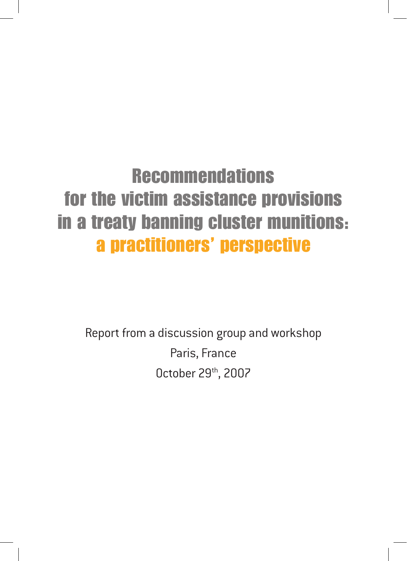## **Recommendations** for the victim assistance provisions in a treaty banning cluster munitions: a practitioners' perspective

Report from a discussion group and workshop Paris, France October 29th, 2007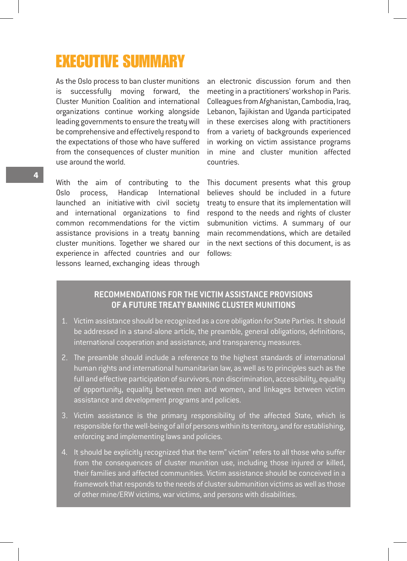### Executive Summary

As the Oslo process to ban cluster munitions is successfully moving forward, the Cluster Munition Coalition and international organizations continue working alongside leading governments to ensure the treaty will be comprehensive and effectively respond to the expectations of those who have suffered from the consequences of cluster munition use around the world.

With the aim of contributing to the Oslo process, Handicap International launched an initiative with civil society and international organizations to find common recommendations for the victim assistance provisions in a treaty banning cluster munitions. Together we shared our experience in affected countries and our lessons learned, exchanging ideas through

an electronic discussion forum and then meeting in a practitioners' workshop in Paris. Colleagues from Afghanistan, Cambodia, Iraq, Lebanon, Tajikistan and Uganda participated in these exercises along with practitioners from a variety of backgrounds experienced in working on victim assistance programs in mine and cluster munition affected countries.

This document presents what this group believes should be included in a future treaty to ensure that its implementation will respond to the needs and rights of cluster submunition victims. A summary of our main recommendations, which are detailed in the next sections of this document, is as follows:

#### **Recommendations for the victim assistance provisions of a future treaty banning cluster munitions**

- 1. Victim assistance should be recognized as a core obligation for State Parties. It should be addressed in a stand-alone article, the preamble, general obligations, definitions, international cooperation and assistance, and transparency measures.
- 2. The preamble should include a reference to the highest standards of international human rights and international humanitarian law, as well as to principles such as the full and effective participation of survivors, non discrimination, accessibility, equality of opportunity, equality between men and women, and linkages between victim assistance and development programs and policies.
- 3. Victim assistance is the primary responsibility of the affected State, which is responsible for the well-being of all of persons within its territory, and for establishing, enforcing and implementing laws and policies.
- 4. It should be explicitly recognized that the term" victim" refers to all those who suffer from the consequences of cluster munition use, including those injured or killed, their families and affected communities. Victim assistance should be conceived in a framework that responds to the needs of cluster submunition victims as well as those of other mine/ERW victims, war victims, and persons with disabilities.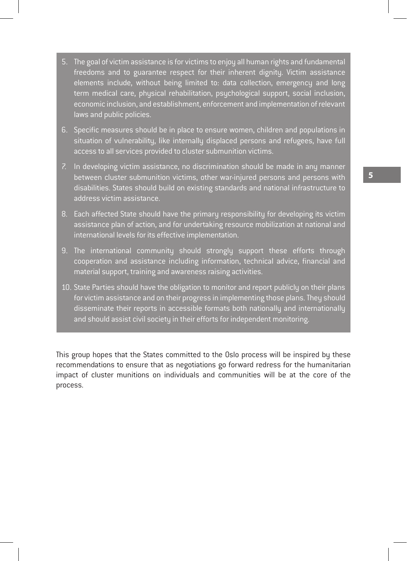- 5. The goal of victim assistance is for victims to enjoy all human rights and fundamental freedoms and to guarantee respect for their inherent dignity. Victim assistance elements include, without being limited to: data collection, emergency and long term medical care, physical rehabilitation, psychological support, social inclusion, economic inclusion, and establishment, enforcement and implementation of relevant laws and public policies.
- 6. Specific measures should be in place to ensure women, children and populations in situation of vulnerability, like internally displaced persons and refugees, have full access to all services provided to cluster submunition victims.
- 7. In developing victim assistance, no discrimination should be made in any manner between cluster submunition victims, other war-injured persons and persons with disabilities. States should build on existing standards and national infrastructure to address victim assistance.
- 8. Each affected State should have the primary responsibility for developing its victim assistance plan of action, and for undertaking resource mobilization at national and international levels for its effective implementation.
- 9. The international community should strongly support these efforts through cooperation and assistance including information, technical advice, financial and material support, training and awareness raising activities.
- 10. State Parties should have the obligation to monitor and report publicly on their plans for victim assistance and on their progress in implementing those plans. They should disseminate their reports in accessible formats both nationally and internationally and should assist civil society in their efforts for independent monitoring.

This group hopes that the States committed to the Oslo process will be inspired by these recommendations to ensure that as negotiations go forward redress for the humanitarian impact of cluster munitions on individuals and communities will be at the core of the process.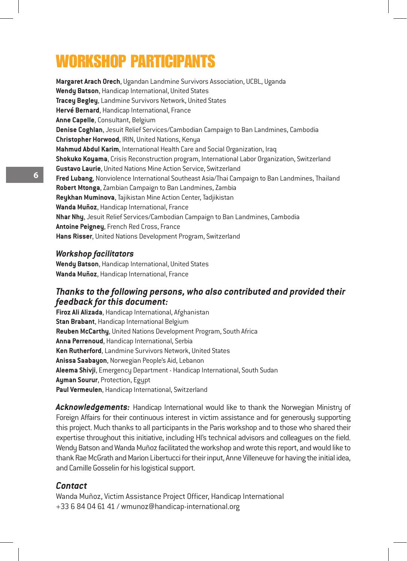### Workshop participants

**Margaret Arach Orech**, Ugandan Landmine Survivors Association, UCBL, Uganda **Wendy Batson**, Handicap International, United States **Tracey Begley**, Landmine Survivors Network, United States **Hervé Bernard**, Handicap International, France **Anne Capelle**, Consultant, Belgium **Denise Coghlan**, Jesuit Relief Services/Cambodian Campaign to Ban Landmines, Cambodia **Christopher Horwood**, IRIN, United Nations, Kenya **Mahmud Abdul Karim**, International Health Care and Social Organization, Iraq **Shokuko Koyama**, Crisis Reconstruction program, International Labor Organization, Switzerland **Gustavo Laurie**, United Nations Mine Action Service, Switzerland **Fred Lubang**, Nonviolence International Southeast Asia/Thai Campaign to Ban Landmines, Thailand **Robert Mtonga**, Zambian Campaign to Ban Landmines, Zambia **Reykhan Muminova**, Tajikistan Mine Action Center, Tadjikistan **Wanda Muñoz**, Handicap International, France **Nhar Nhy**, Jesuit Relief Services/Cambodian Campaign to Ban Landmines, Cambodia **Antoine Peigney**, French Red Cross, France **Hans Risser**, United Nations Development Program, Switzerland

#### *Workshop facilitators*

**Wendy Batson**, Handicap International, United States **Wanda Muñoz**, Handicap International, France

#### *Thanks to the following persons, who also contributed and provided their feedback for this document:*

**Firoz Ali Alizada**, Handicap International, Afghanistan **Stan Brabant**, Handicap International Belgium **Reuben McCarthy**, United Nations Development Program, South Africa **Anna Perrenoud**, Handicap International, Serbia **Ken Rutherford**, Landmine Survivors Network, United States **Anissa Saabayon**, Norwegian People's Aid, Lebanon **Aleema Shivji**, Emergency Department - Handicap International, South Sudan **Ayman Sourur**, Protection, Egypt **Paul Vermeulen**, Handicap International, Switzerland

Acknowledgements: Handicap International would like to thank the Norwegian Ministry of Foreign Affairs for their continuous interest in victim assistance and for generously supporting this project. Much thanks to all participants in the Paris workshop and to those who shared their expertise throughout this initiative, including HI's technical advisors and colleagues on the field. Wendy Batson and Wanda Muñoz facilitated the workshop and wrote this report, and would like to thank Rae McGrath and Marion Libertucci for their input, Anne Villeneuve for having the initial idea, and Camille Gosselin for his logistical support.

#### *Contact*

Wanda Muñoz, Victim Assistance Project Officer, Handicap International +33 6 84 04 61 41 / wmunoz@handicap-international.org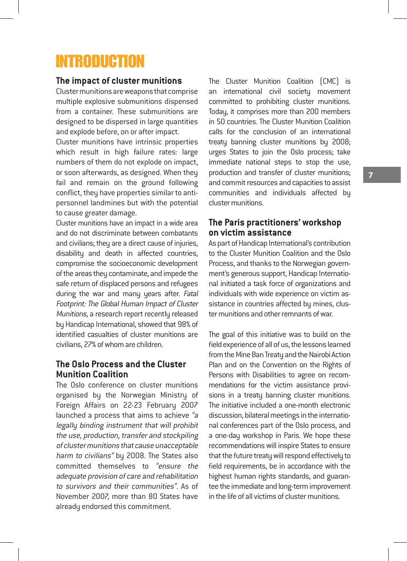### Introduction

#### **The impact of cluster munitions**

Cluster munitions are weapons that comprise multiple explosive submunitions dispensed from a container. These submunitions are designed to be dispersed in large quantities and explode before, on or after impact.

Cluster munitions have intrinsic properties which result in high failure rates: large numbers of them do not explode on impact, or soon afterwards, as designed. When they fail and remain on the ground following conflict, they have properties similar to antipersonnel landmines but with the potential to cause greater damage.

Cluster munitions have an impact in a wide area and do not discriminate between combatants and civilians; they are a direct cause of injuries, disability and death in affected countries, compromise the socioeconomic development of the areas they contaminate, and impede the safe return of displaced persons and refugees during the war and many years after. Fatal Footprint: The Global Human Impact of Cluster Munitions, a research report recently released by Handicap International, showed that 98% of identified casualties of cluster munitions are civilians, 27% of whom are children.

#### **The Oslo Process and the Cluster Munition Coalition**

The Oslo conference on cluster munitions organised by the Norwegian Ministry of Foreign Affairs on 22-23 February 2007 launched a process that aims to achieve "a legally binding instrument that will prohibit the use, production, transfer and stockpiling of cluster munitions that cause unacceptable harm to civilians" by 2008. The States also committed themselves to "ensure the adequate provision of care and rehabilitation to survivors and their communities". As of November 2007, more than 80 States have already endorsed this commitment.

The Cluster Munition Coalition (CMC) is an international civil society movement committed to prohibiting cluster munitions. Today, it comprises more than 200 members in 50 countries. The Cluster Munition Coalition calls for the conclusion of an international treaty banning cluster munitions by 2008; urges States to join the Oslo process; take immediate national steps to stop the use, production and transfer of cluster munitions; and commit resources and capacities to assist communities and individuals affected by cluster munitions.

#### **The Paris practitioners' workshop on victim assistance**

As part of Handicap International's contribution to the Cluster Munition Coalition and the Oslo Process, and thanks to the Norwegian government's generous support, Handicap International initiated a task force of organizations and individuals with wide experience on victim assistance in countries affected by mines, cluster munitions and other remnants of war.

The goal of this initiative was to build on the field experience of all of us, the lessons learned from the Mine Ban Treaty and the Nairobi Action Plan and on the Convention on the Rights of Persons with Disabilities to agree on recommendations for the victim assistance provisions in a treaty banning cluster munitions. The initiative included a one-month electronic discussion, bilateral meetings in the international conferences part of the Oslo process, and a one-day workshop in Paris. We hope these recommendations will inspire States to ensure that the future treaty will respond effectively to field requirements, be in accordance with the highest human rights standards, and guarantee the immediate and long-term improvement in the life of all victims of cluster munitions.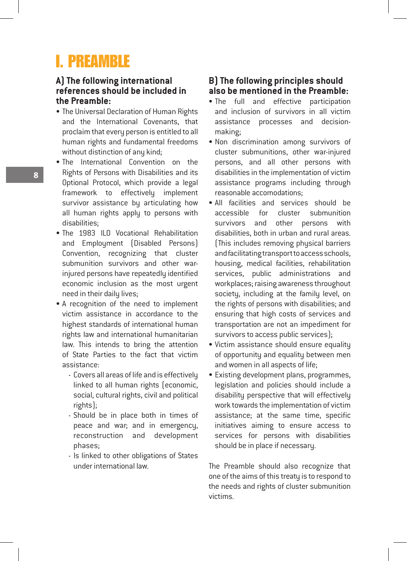### **I. PREAMBLE**

#### **A) The following international references should be included in the Preamble:**

- The Universal Declaration of Human Rights and the International Covenants, that proclaim that every person is entitled to all human rights and fundamental freedoms without distinction of any kind;
- The International Convention on the Rights of Persons with Disabilities and its Optional Protocol, which provide a legal framework to effectively implement survivor assistance by articulating how all human rights apply to persons with disabilities;
- The 1983 ILO Vocational Rehabilitation and Employment (Disabled Persons) Convention, recognizing that cluster submunition survivors and other warinjured persons have repeatedly identified economic inclusion as the most urgent need in their daily lives;
- A recognition of the need to implement victim assistance in accordance to the highest standards of international human rights law and international humanitarian law. This intends to bring the attention of State Parties to the fact that victim assistance:
	- Covers all areas of life and is effectively linked to all human rights (economic, social, cultural rights, civil and political rights);
	- Should be in place both in times of peace and war; and in emergency, reconstruction and development phases;
	- Is linked to other obligations of States under international law.

#### **B) The following principles should also be mentioned in the Preamble:**

- The full and effective participation and inclusion of survivors in all victim assistance processes and decisionmaking;
- Non discrimination among survivors of cluster submunitions, other war-injured persons, and all other persons with disabilities in the implementation of victim assistance programs including through reasonable accomodations;
- All facilities and services should be accessible for cluster submunition survivors and other persons with disabilities, both in urban and rural areas. (This includes removing physical barriers and facilitating transport to access schools, housing, medical facilities, rehabilitation services, public administrations and workplaces; raising awareness throughout society, including at the family level, on the rights of persons with disabilities; and ensuring that high costs of services and transportation are not an impediment for survivors to access public services);
- Victim assistance should ensure equality of opportunity and equality between men and women in all aspects of life;
- Existing development plans, programmes, legislation and policies should include a disability perspective that will effectively work towards the implementation of victim assistance; at the same time, specific initiatives aiming to ensure access to services for persons with disabilities should be in place if necessary.

The Preamble should also recognize that one of the aims of this treaty is to respond to the needs and rights of cluster submunition victims.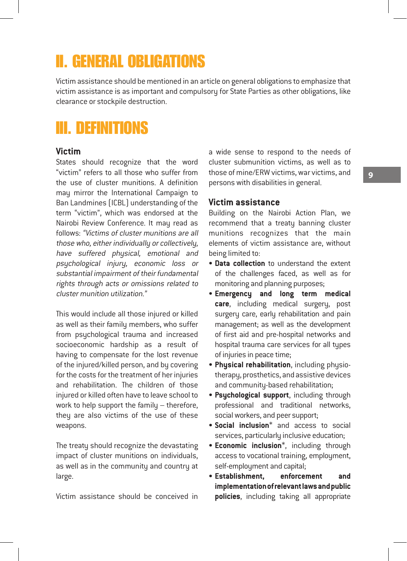### II. General obligations

Victim assistance should be mentioned in an article on general obligations to emphasize that victim assistance is as important and compulsory for State Parties as other obligations, like clearance or stockpile destruction.

### III. Definitions

#### **Victim**

States should recognize that the word "victim" refers to all those who suffer from the use of cluster munitions. A definition may mirror the International Campaign to Ban Landmines (ICBL) understanding of the term "victim", which was endorsed at the Nairobi Review Conference. It may read as follows: "Victims of cluster munitions are all those who, either individually or collectively, have suffered physical, emotional and psychological injury, economic loss or substantial impairment of their fundamental rights through acts or omissions related to cluster munition utilization."

This would include all those injured or killed as well as their family members, who suffer from psychological trauma and increased socioeconomic hardship as a result of having to compensate for the lost revenue of the injured/killed person, and by covering for the costs for the treatment of her injuries and rehabilitation. The children of those injured or killed often have to leave school to work to help support the family – therefore, they are also victims of the use of these weapons.

The treaty should recognize the devastating impact of cluster munitions on individuals, as well as in the community and country at large.

Victim assistance should be conceived in

a wide sense to respond to the needs of cluster submunition victims, as well as to those of mine/ERW victims, war victims, and persons with disabilities in general.

#### **Victim assistance**

Building on the Nairobi Action Plan, we recommend that a treaty banning cluster munitions recognizes that the main elements of victim assistance are, without being limited to:

- **Data collection** to understand the extent of the challenges faced, as well as for monitoring and planning purposes;
- **Emergency and long term medical care**, including medical surgery, post surgery care, early rehabilitation and pain management; as well as the development of first aid and pre-hospital networks and hospital trauma care services for all types of injuries in peace time;
- **Physical rehabilitation**, including physiotherapy, prosthetics, and assistive devices and community-based rehabilitation;
- **Psychological support**, including through professional and traditional networks, social workers, and peer support;
- **Social inclusion**\* and access to social services, particularly inclusive education;
- **Economic inclusion**\*, including through access to vocational training, employment, self-employment and capital;
- **Establishment, enforcement and implementation of relevant laws and public policies**, including taking all appropriate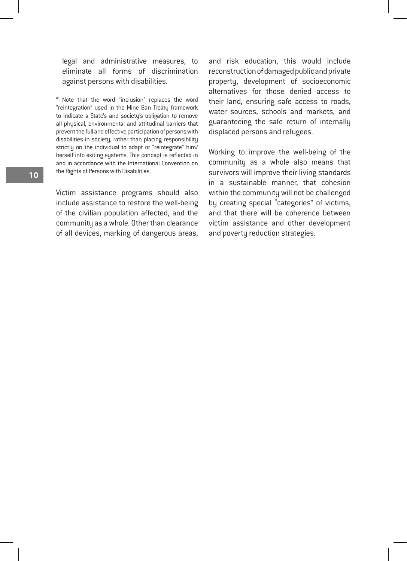legal and administrative measures, to eliminate all forms of discrimination against persons with disabilities.

\* Note that the word "inclusion" replaces the word "reintegration" used in the Mine Ban Treaty framework to indicate a State's and society's obligation to remove all physical, environmental and attitudinal barriers that prevent the full and effective participation of persons with disabilities in society, rather than placing responsibility strictly on the individual to adapt or "reintegrate" him/ herself into exiting systems. This concept is reflected in and in accordance with the International Convention on the Rights of Persons with Disabilities.

Victim assistance programs should also include assistance to restore the well-being of the civilian population affected, and the community as a whole. Other than clearance of all devices, marking of dangerous areas, and risk education, this would include reconstruction of damaged public and private property, development of socioeconomic alternatives for those denied access to their land, ensuring safe access to roads, water sources, schools and markets, and guaranteeing the safe return of internally displaced persons and refugees.

Working to improve the well-being of the community as a whole also means that survivors will improve their living standards in a sustainable manner, that cohesion within the community will not be challenged by creating special "categories" of victims, and that there will be coherence between victim assistance and other development and poverty reduction strategies.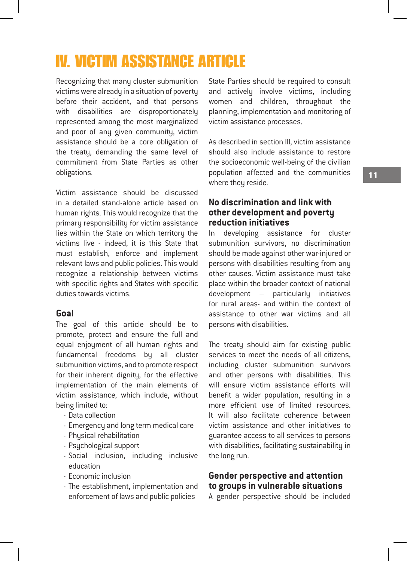### IV. Victim assistance article

Recognizing that many cluster submunition victims were already in a situation of poverty before their accident, and that persons with disabilities are disproportionately represented among the most marginalized and poor of any given community, victim assistance should be a core obligation of the treaty, demanding the same level of commitment from State Parties as other obligations.

Victim assistance should be discussed in a detailed stand-alone article based on human rights. This would recognize that the primary responsibility for victim assistance lies within the State on which territory the victims live - indeed, it is this State that must establish, enforce and implement relevant laws and public policies. This would recognize a relationship between victims with specific rights and States with specific duties towards victims.

#### **Goal**

The goal of this article should be to promote, protect and ensure the full and equal enjoyment of all human rights and fundamental freedoms by all cluster submunition victims, and to promote respect for their inherent dignity, for the effective implementation of the main elements of victim assistance, which include, without being limited to:

- Data collection
- Emergency and long term medical care
- Physical rehabilitation
- Psychological support
- Social inclusion, including inclusive education
- Economic inclusion
- The establishment, implementation and enforcement of laws and public policies

State Parties should be required to consult and actively involve victims, including women and children, throughout the planning, implementation and monitoring of victim assistance processes.

As described in section III, victim assistance should also include assistance to restore the socioeconomic well-being of the civilian population affected and the communities where they reside.

#### **No discrimination and link with other development and poverty reduction initiatives**

In developing assistance for cluster submunition survivors, no discrimination should be made against other war-injured or persons with disabilities resulting from any other causes. Victim assistance must take place within the broader context of national development – particularly initiatives for rural areas- and within the context of assistance to other war victims and all persons with disabilities.

The treaty should aim for existing public services to meet the needs of all citizens, including cluster submunition survivors and other persons with disabilities. This will ensure victim assistance efforts will benefit a wider population, resulting in a more efficient use of limited resources. It will also facilitate coherence between victim assistance and other initiatives to guarantee access to all services to persons with disabilities, facilitating sustainability in the long run.

#### **Gender perspective and attention to groups in vulnerable situations**

A gender perspective should be included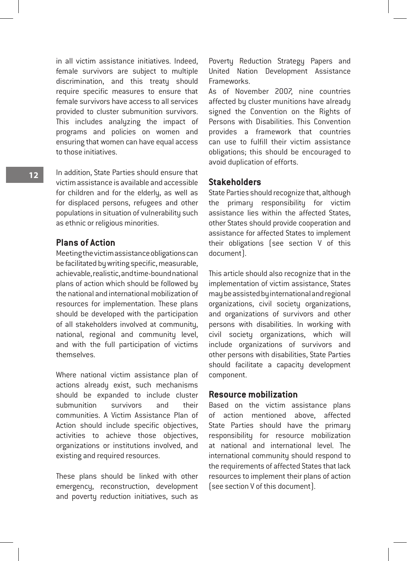in all victim assistance initiatives. Indeed, female survivors are subject to multiple discrimination, and this treaty should require specific measures to ensure that female survivors have access to all services provided to cluster submunition survivors. This includes analyzing the impact of programs and policies on women and ensuring that women can have equal access to those initiatives.

In addition, State Parties should ensure that victim assistance is available and accessible for children and for the elderly, as well as for displaced persons, refugees and other populations in situation of vulnerability such as ethnic or religious minorities.

#### **Plans of Action**

Meeting the victim assistance obligations can be facilitated by writing specific, measurable, achievable, realistic, and time-bound national plans of action which should be followed by the national and international mobilization of resources for implementation. These plans should be developed with the participation of all stakeholders involved at community, national, regional and community level, and with the full participation of victims themselves.

Where national victim assistance plan of actions already exist, such mechanisms should be expanded to include cluster submunition survivors and their communities. A Victim Assistance Plan of Action should include specific objectives, activities to achieve those objectives, organizations or institutions involved, and existing and required resources.

These plans should be linked with other emergency, reconstruction, development and poverty reduction initiatives, such as

Poverty Reduction Strategy Papers and United Nation Development Assistance Frameworks.

As of November 2007, nine countries affected by cluster munitions have already signed the Convention on the Rights of Persons with Disabilities. This Convention provides a framework that countries can use to fulfill their victim assistance obligations; this should be encouraged to avoid duplication of efforts.

#### **Stakeholders**

State Parties should recognize that, although the primary responsibility for victim assistance lies within the affected States, other States should provide cooperation and assistance for affected States to implement their obligations (see section V of this document).

This article should also recognize that in the implementation of victim assistance, States may be assisted by international and regional organizations, civil society organizations, and organizations of survivors and other persons with disabilities. In working with civil society organizations, which will include organizations of survivors and other persons with disabilities, State Parties should facilitate a capacity development component.

#### **Resource mobilization**

Based on the victim assistance plans of action mentioned above, affected State Parties should have the primary responsibility for resource mobilization at national and international level. The international community should respond to the requirements of affected States that lack resources to implement their plans of action (see section V of this document).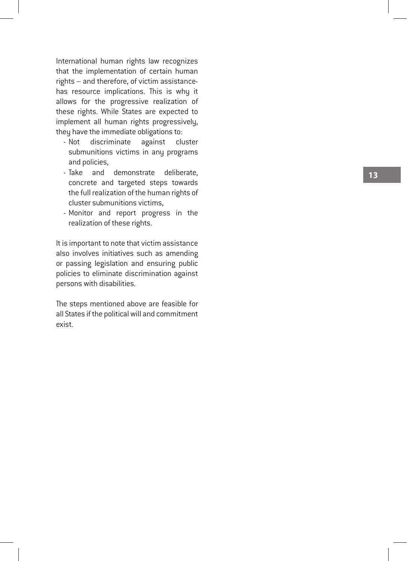International human rights law recognizes that the implementation of certain human rights – and therefore, of victim assistancehas resource implications. This is why it allows for the progressive realization of these rights. While States are expected to implement all human rights progressively, they have the immediate obligations to: - Not discriminate against cluster

- submunitions victims in any programs and policies,
- Take and demonstrate deliberate, concrete and targeted steps towards the full realization of the human rights of cluster submunitions victims,
- Monitor and report progress in the realization of these rights.

It is important to note that victim assistance also involves initiatives such as amending or passing legislation and ensuring public policies to eliminate discrimination against persons with disabilities.

The steps mentioned above are feasible for all States if the political will and commitment exist.

13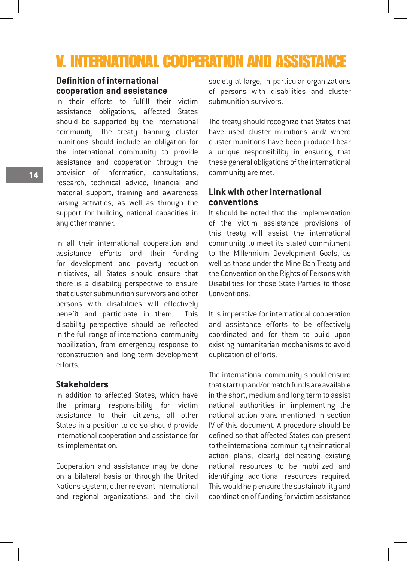### V. International cooperation and assistance

#### **Definition of international cooperation and assistance**

In their efforts to fulfill their victim assistance obligations, affected States should be supported by the international community. The treaty banning cluster munitions should include an obligation for the international community to provide assistance and cooperation through the provision of information, consultations, research, technical advice, financial and material support, training and awareness raising activities, as well as through the support for building national capacities in any other manner.

In all their international cooperation and assistance efforts and their funding for development and poverty reduction initiatives, all States should ensure that there is a disability perspective to ensure that cluster submunition survivors and other persons with disabilities will effectively benefit and participate in them. This disability perspective should be reflected in the full range of international community mobilization, from emergency response to reconstruction and long term development efforts.

#### **Stakeholders**

In addition to affected States, which have the primary responsibility for victim assistance to their citizens, all other States in a position to do so should provide international cooperation and assistance for its implementation.

Cooperation and assistance may be done on a bilateral basis or through the United Nations system, other relevant international and regional organizations, and the civil

society at large, in particular organizations of persons with disabilities and cluster submunition survivors.

The treaty should recognize that States that have used cluster munitions and/ where cluster munitions have been produced bear a unique responsibility in ensuring that these general obligations of the international community are met.

#### **Link with other international conventions**

It should be noted that the implementation of the victim assistance provisions of this treatu will assist the international community to meet its stated commitment to the Millennium Development Goals, as well as those under the Mine Ban Treaty and the Convention on the Rights of Persons with Disabilities for those State Parties to those Conventions.

It is imperative for international cooperation and assistance efforts to be effectively coordinated and for them to build upon existing humanitarian mechanisms to avoid duplication of efforts.

The international community should ensure that start up and/or match funds are available in the short, medium and long term to assist national authorities in implementing the national action plans mentioned in section IV of this document. A procedure should be defined so that affected States can present to the international community their national action plans, clearly delineating existing national resources to be mobilized and identifying additional resources required. This would help ensure the sustainability and coordination of funding for victim assistance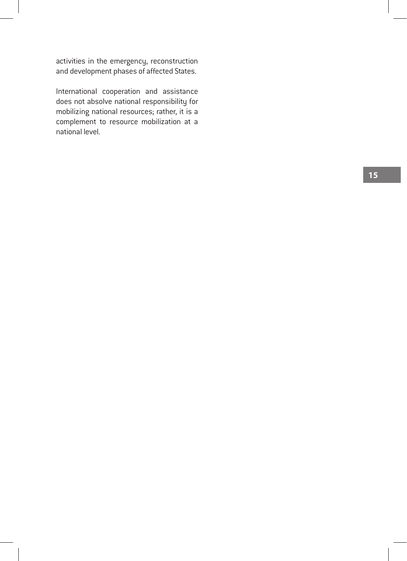activities in the emergency, reconstruction and development phases of affected States.

International cooperation and assistance does not absolve national responsibility for mobilizing national resources; rather, it is a complement to resource mobilization at a national level.

1 5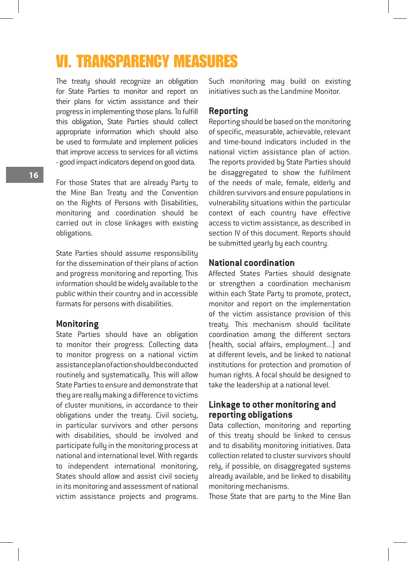### VI. Transparency measures

The treaty should recognize an obligation for State Parties to monitor and report on their plans for victim assistance and their progress in implementing those plans. To fulfill this obligation, State Parties should collect appropriate information which should also be used to formulate and implement policies that improve access to services for all victims - good impact indicators depend on good data.

For those States that are already Party to the Mine Ban Treaty and the Convention on the Rights of Persons with Disabilities, monitoring and coordination should be carried out in close linkages with existing obligations.

State Parties should assume responsibility for the dissemination of their plans of action and progress monitoring and reporting. This information should be widely available to the public within their country and in accessible formats for persons with disabilities.

#### **Monitoring**

State Parties should have an obligation to monitor their progress. Collecting data to monitor progress on a national victim assistance plan of action should be conducted routinely and systematically. This will allow State Parties to ensure and demonstrate that they are really making a difference to victims of cluster munitions, in accordance to their obligations under the treaty. Civil society, in particular survivors and other persons with disabilities, should be involved and participate fully in the monitoring process at national and international level. With regards to independent international monitoring, States should allow and assist civil society in its monitoring and assessment of national victim assistance projects and programs.

Such monitoring may build on existing initiatives such as the Landmine Monitor.

#### **Reporting**

Reporting should be based on the monitoring of specific, measurable, achievable, relevant and time-bound indicators included in the national victim assistance plan of action. The reports provided by State Parties should be disaggregated to show the fulfilment of the needs of male, female, elderly and children survivors and ensure populations in vulnerability situations within the particular context of each country have effective access to victim assistance, as described in section IV of this document. Reports should be submitted yearly by each country.

#### **National coordination**

Affected States Parties should designate or strengthen a coordination mechanism within each State Party to promote, protect, monitor and report on the implementation of the victim assistance provision of this treaty. This mechanism should facilitate coordination among the different sectors (health, social affairs, employment...) and at different levels, and be linked to national institutions for protection and promotion of human rights. A focal should be designed to take the leadership at a national level.

#### **Linkage to other monitoring and reporting obligations**

Data collection, monitoring and reporting of this treaty should be linked to census and to disability monitoring initiatives. Data collection related to cluster survivors should rely, if possible, on disaggregated systems already available, and be linked to disability monitoring mechanisms.

Those State that are party to the Mine Ban